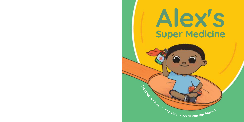# Alex's Super Medicine

· *Kin Rex* • Anita van der Merwe

Teoritics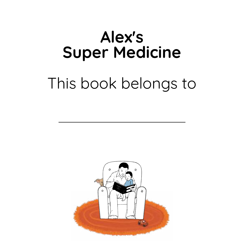## Alex's Super Medicine

## This book belongs to

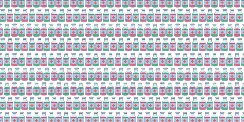[비판] 비판 비판 만 만 한 번 만 한 번 만 한 번 만 만 한 번 만 한 번 만 한 번 만 한 번 만 <u>Tanana sa na na na na na na na na na na na n</u> <u>TARA TARARARARARARARARARARARA</u> <u>ie de la posta de la posta de la posta de la p</u> <u>TARA RARA ARAKA ARAKA ARAKA ARAKA ARAK</u>  $\frac{1}{2}$ 

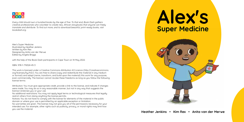

Every child should own a hundred books by the age of five. To that end, Book Dash gathers creative professionals who volunteer to create new, African storybooks that anyone can freely translate and distribute. To find out more, and to download beautiful, print-ready books, visit [bookdash.org](http://bookdash.org).

Alex's Super Medicine Illustrated by Heather Jenkins Written by Kim Rex Designed by Anita van der Merwe Edited by Angela Briggs

with the help of the Book Dash participants in Cape Town on 14 May 2022.

ISBN: 978-1-776324-45-3

This work is licensed under a Creative Commons Attribution 4.0 Licence (http://creativecommons. org/licenses/by/4.0/). You are free to share (copy and redistribute the material in any medium or format) and adapt (remix, transform, and build upon the material) this work for any purpose, even commercially. The licensor cannot revoke these freedoms as long as you follow the following license terms:

Attribution: You must give appropriate credit, provide a link to the license, and indicate if changes were made. You may do so in any reasonable manner, but not in any way that suggests the licensor endorses you or your use.

No additional restrictions: You may not apply legal terms or technological measures that legally restrict others from doing anything the license permits.

Notices: You do not have to comply with the license for elements of the material in the public domain or where your use is permitted by an applicable exception or limitation.

No warranties are given. The license may not give you all of the permissions necessary for your intended use. For example, other rights such as publicity, privacy, or moral rights may limit how you use the material.



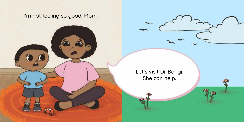## I'm not feeling so good, Mom.

## Let's visit Dr Bongi. She can help.

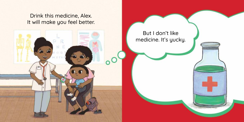

**G** 

 $\mathbf{0}$  ,  $\mathbf{6}$ 

But I don't like medicine. It's yucky.

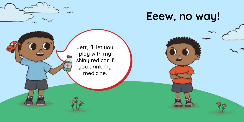

## Eeew, no way!

Jett, I'll let you play with my shiny red car if you drink my medicine.

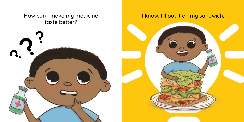How can I make my medicine taste better?



### I know, I'll put it on my sandwich.

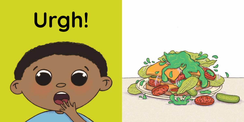

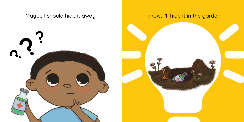

### Maybe I should hide it away. I know, I'll hide it in the garden.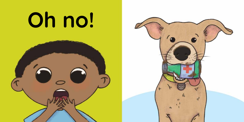

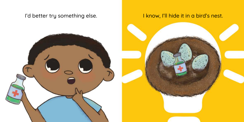### I'd better try something else.<br>I know, I'll hide it in a bird's nest.

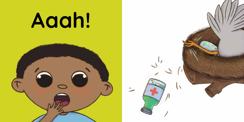

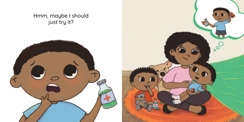

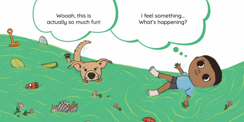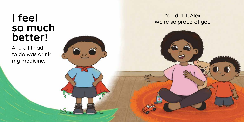## I feel so much better!

And all I had to do was drink my medicine.

LO

шш

**THEFT!** 

You did it, Alex! We're so proud of you.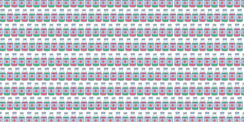<u>TARARA ARARA ARARA ARARA ARARA</u> 200 <u>TARA KARARARAKARARA ARARA BARAR</u> <u>Tanang ang ngang ang mga ngang ang ngang</u> <u>ie de la provincia de la provincia de la provincia de la provincia de la provincia de la provincia de la provi</u>  $\frac{1}{2}\left(\frac{1}{2}\right)^{\frac{1}{2}}\left(\frac{1}{2}\right)^{\frac{1}{2}}\left(\frac{1}{2}\right)^{\frac{1}{2}}\left(\frac{1}{2}\right)^{\frac{1}{2}}\left(\frac{1}{2}\right)^{\frac{1}{2}}\left(\frac{1}{2}\right)^{\frac{1}{2}}\left(\frac{1}{2}\right)^{\frac{1}{2}}\left(\frac{1}{2}\right)^{\frac{1}{2}}\left(\frac{1}{2}\right)^{\frac{1}{2}}\left(\frac{1}{2}\right)^{\frac{1}{2}}\left(\frac{1}{2}\right)^{\frac{1}{2}}\left(\frac{1}{2}\right)^{\frac{1}{$